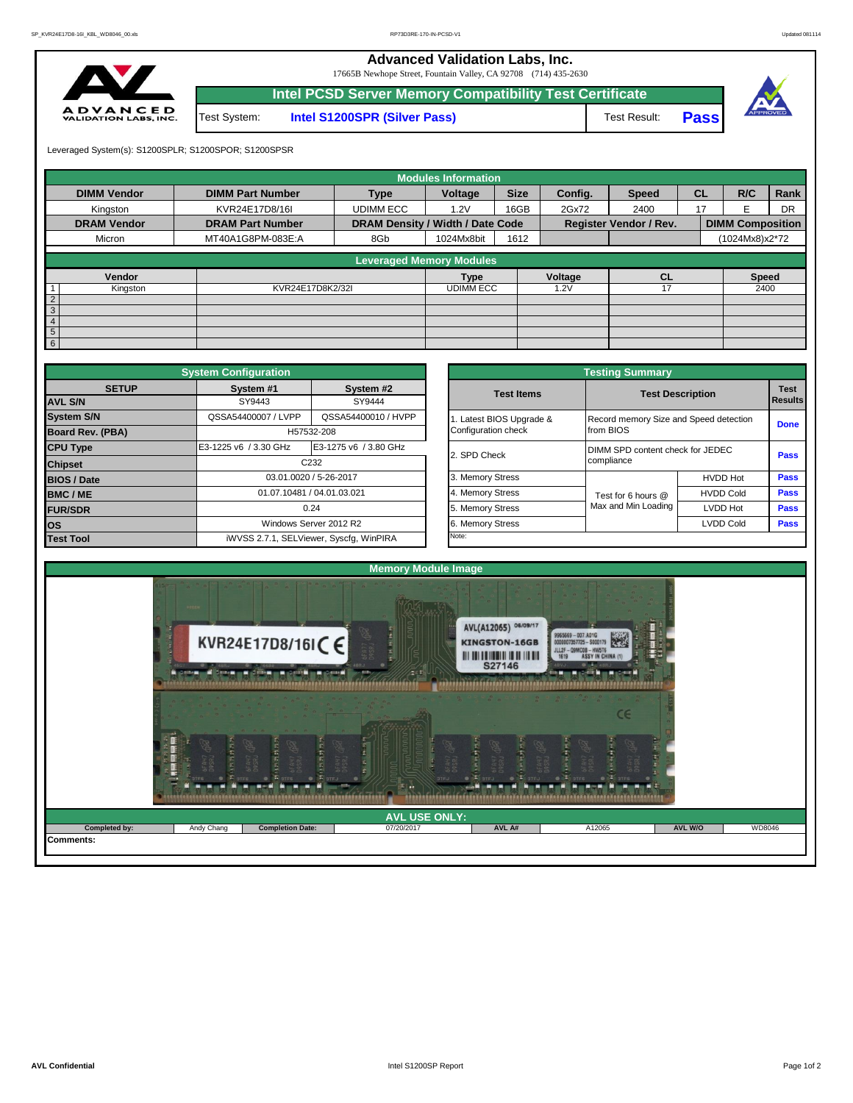**Advanced Validation Labs, Inc.** 

17665B Newhope Street, Fountain Valley, CA 92708 (714) 435-2630



|          |              | Intel PCSD Server Memory Compatibility Test Certificate |              |       |  |
|----------|--------------|---------------------------------------------------------|--------------|-------|--|
| D<br>ЧC. | Test System: | <b>Intel S1200SPR (Silver Pass)</b>                     | Test Result: | Passl |  |

Leveraged System(s): S1200SPLR; S1200SPOR; S1200SPSR

|                    |                         |                                  | <b>Modules Information</b> |             |         |                               |           |                         |           |
|--------------------|-------------------------|----------------------------------|----------------------------|-------------|---------|-------------------------------|-----------|-------------------------|-----------|
| <b>DIMM Vendor</b> | <b>DIMM Part Number</b> | Type                             | Voltage                    | <b>Size</b> | Config. | <b>Speed</b>                  | <b>CL</b> | R/C                     | Rank      |
| Kingston           | KVR24E17D8/16I          | <b>UDIMM ECC</b>                 | 1.2V                       | 16GB        | 2Gx72   | 2400                          | 17        | F                       | <b>DR</b> |
| <b>DRAM Vendor</b> | <b>DRAM Part Number</b> | DRAM Density / Width / Date Code |                            |             |         | <b>Register Vendor / Rev.</b> |           | <b>DIMM Composition</b> |           |
| Micron             | MT40A1G8PM-083E:A       | 8Gb                              | 1024Mx8bit                 | 1612        |         |                               |           | (1024Mx8)x2*72          |           |
|                    |                         | <b>Leveraged Memory Modules</b>  |                            |             |         |                               |           |                         |           |
|                    |                         |                                  |                            |             |         |                               |           |                         |           |
| Vendor             |                         |                                  | <b>Type</b>                |             | Voltage | CL                            |           | <b>Speed</b>            |           |
| Kingston           | KVR24E17D8K2/32I        |                                  | <b>UDIMM ECC</b>           |             | 1.2V    | 17                            |           | 2400                    |           |
| $\frac{2}{3}$      |                         |                                  |                            |             |         |                               |           |                         |           |
|                    |                         |                                  |                            |             |         |                               |           |                         |           |
| $\overline{4}$     |                         |                                  |                            |             |         |                               |           |                         |           |
| 5 <sub>5</sub>     |                         |                                  |                            |             |         |                               |           |                         |           |
| 6                  |                         |                                  |                            |             |         |                               |           |                         |           |

|                    | <b>System Configuration</b> |                                                                                                                                                   |  |                       | <b>Testing Summary</b>                 |                  |             |  |  |
|--------------------|-----------------------------|---------------------------------------------------------------------------------------------------------------------------------------------------|--|-----------------------|----------------------------------------|------------------|-------------|--|--|
| <b>SETUP</b>       | System #1                   | System #2                                                                                                                                         |  | <b>Test Items</b>     | <b>Test Description</b>                |                  | <b>Test</b> |  |  |
| <b>AVL S/N</b>     | SY9443                      | SY9444                                                                                                                                            |  |                       |                                        |                  | Results     |  |  |
| <b>System S/N</b>  | QSSA54400007 / LVPP         | QSSA54400010 / HVPP                                                                                                                               |  | Latest BIOS Upgrade & | Record memory Size and Speed detection |                  | <b>Done</b> |  |  |
| Board Rev. (PBA)   |                             |                                                                                                                                                   |  | Configuration check   | from BIOS                              |                  |             |  |  |
| <b>CPU Type</b>    | E3-1225 v6 / 3.30 GHz       |                                                                                                                                                   |  | 2. SPD Check          | DIMM SPD content check for JEDEC       | Pass             |             |  |  |
| <b>Chipset</b>     |                             |                                                                                                                                                   |  | compliance            |                                        |                  |             |  |  |
| <b>BIOS / Date</b> |                             |                                                                                                                                                   |  | 3. Memory Stress      |                                        | <b>HVDD Hot</b>  | Pass        |  |  |
| <b>BMC/ME</b>      |                             | H57532-208<br>E3-1275 v6 / 3.80 GHz<br>C <sub>232</sub><br>03.01.0020 / 5-26-2017<br>01.07.10481 / 04.01.03.021<br>0.24<br>Windows Server 2012 R2 |  | 4. Memory Stress      | Test for 6 hours @                     | <b>HVDD Cold</b> | Pass        |  |  |
| <b>FUR/SDR</b>     |                             |                                                                                                                                                   |  | 5. Memory Stress      | Max and Min Loading                    | LVDD Hot         | Pass        |  |  |
| <b>los</b>         |                             |                                                                                                                                                   |  | 6. Memory Stress      |                                        | <b>LVDD Cold</b> | <b>Pass</b> |  |  |
| <b>Test Tool</b>   |                             | iWVSS 2.7.1, SELViewer, Syscfq, WinPIRA                                                                                                           |  | Note:                 |                                        |                  |             |  |  |

|              | <b>System Configuration</b> |                                         |                       | <b>Testing Summary</b>           |                                                                                                                                                                                                                                         |  |  |  |
|--------------|-----------------------------|-----------------------------------------|-----------------------|----------------------------------|-----------------------------------------------------------------------------------------------------------------------------------------------------------------------------------------------------------------------------------------|--|--|--|
| <b>SETUP</b> | System #1                   | System #2                               | <b>Test Items</b>     |                                  |                                                                                                                                                                                                                                         |  |  |  |
|              | SY9443                      | SY9444                                  |                       |                                  |                                                                                                                                                                                                                                         |  |  |  |
|              | QSSA54400007 / LVPP         | QSSA54400010 / HVPP                     | Latest BIOS Upgrade & |                                  |                                                                                                                                                                                                                                         |  |  |  |
| PBA)         |                             | H57532-208                              | Configuration check   | from BIOS                        | <b>Test</b><br><b>Test Description</b><br><b>Results</b><br>Record memory Size and Speed detection<br><b>Done</b><br>Pass<br><b>HVDD Hot</b><br>Pass<br>Pass<br><b>HVDD Cold</b><br>Pass<br>LVDD Hot<br><b>LVDD Cold</b><br><b>Pass</b> |  |  |  |
|              | E3-1225 v6 / 3.30 GHz       | E3-1275 v6 / 3.80 GHz                   | 2. SPD Check          | DIMM SPD content check for JEDEC |                                                                                                                                                                                                                                         |  |  |  |
|              |                             | C <sub>232</sub>                        |                       | compliance                       |                                                                                                                                                                                                                                         |  |  |  |
|              |                             | 03.01.0020 / 5-26-2017                  | 3. Memory Stress      |                                  |                                                                                                                                                                                                                                         |  |  |  |
|              |                             | 01.07.10481 / 04.01.03.021              | 4. Memory Stress      | Test for 6 hours @               |                                                                                                                                                                                                                                         |  |  |  |
|              |                             | 0.24                                    | 5. Memory Stress      | Max and Min Loading              |                                                                                                                                                                                                                                         |  |  |  |
|              |                             | Windows Server 2012 R2                  | 6. Memory Stress      |                                  |                                                                                                                                                                                                                                         |  |  |  |
|              |                             | iWVSS 2.7.1, SELViewer, Syscfq, WinPIRA | Note:                 |                                  |                                                                                                                                                                                                                                         |  |  |  |